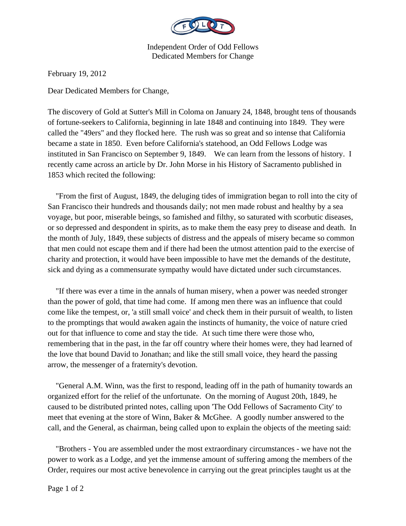

Independent Order of Odd Fellows Dedicated Members for Change

February 19, 2012

Dear Dedicated Members for Change,

The discovery of Gold at Sutter's Mill in Coloma on January 24, 1848, brought tens of thousands of fortune-seekers to California, beginning in late 1848 and continuing into 1849. They were called the "49ers" and they flocked here. The rush was so great and so intense that California became a state in 1850. Even before California's statehood, an Odd Fellows Lodge was instituted in San Francisco on September 9, 1849. We can learn from the lessons of history. I recently came across an article by Dr. John Morse in his History of Sacramento published in 1853 which recited the following:

 "From the first of August, 1849, the deluging tides of immigration began to roll into the city of San Francisco their hundreds and thousands daily; not men made robust and healthy by a sea voyage, but poor, miserable beings, so famished and filthy, so saturated with scorbutic diseases, or so depressed and despondent in spirits, as to make them the easy prey to disease and death. In the month of July, 1849, these subjects of distress and the appeals of misery became so common that men could not escape them and if there had been the utmost attention paid to the exercise of charity and protection, it would have been impossible to have met the demands of the destitute, sick and dying as a commensurate sympathy would have dictated under such circumstances.

 "If there was ever a time in the annals of human misery, when a power was needed stronger than the power of gold, that time had come. If among men there was an influence that could come like the tempest, or, 'a still small voice' and check them in their pursuit of wealth, to listen to the promptings that would awaken again the instincts of humanity, the voice of nature cried out for that influence to come and stay the tide. At such time there were those who, remembering that in the past, in the far off country where their homes were, they had learned of the love that bound David to Jonathan; and like the still small voice, they heard the passing arrow, the messenger of a fraternity's devotion.

 "General A.M. Winn, was the first to respond, leading off in the path of humanity towards an organized effort for the relief of the unfortunate. On the morning of August 20th, 1849, he caused to be distributed printed notes, calling upon 'The Odd Fellows of Sacramento City' to meet that evening at the store of Winn, Baker & McGhee. A goodly number answered to the call, and the General, as chairman, being called upon to explain the objects of the meeting said:

 "Brothers - You are assembled under the most extraordinary circumstances - we have not the power to work as a Lodge, and yet the immense amount of suffering among the members of the Order, requires our most active benevolence in carrying out the great principles taught us at the